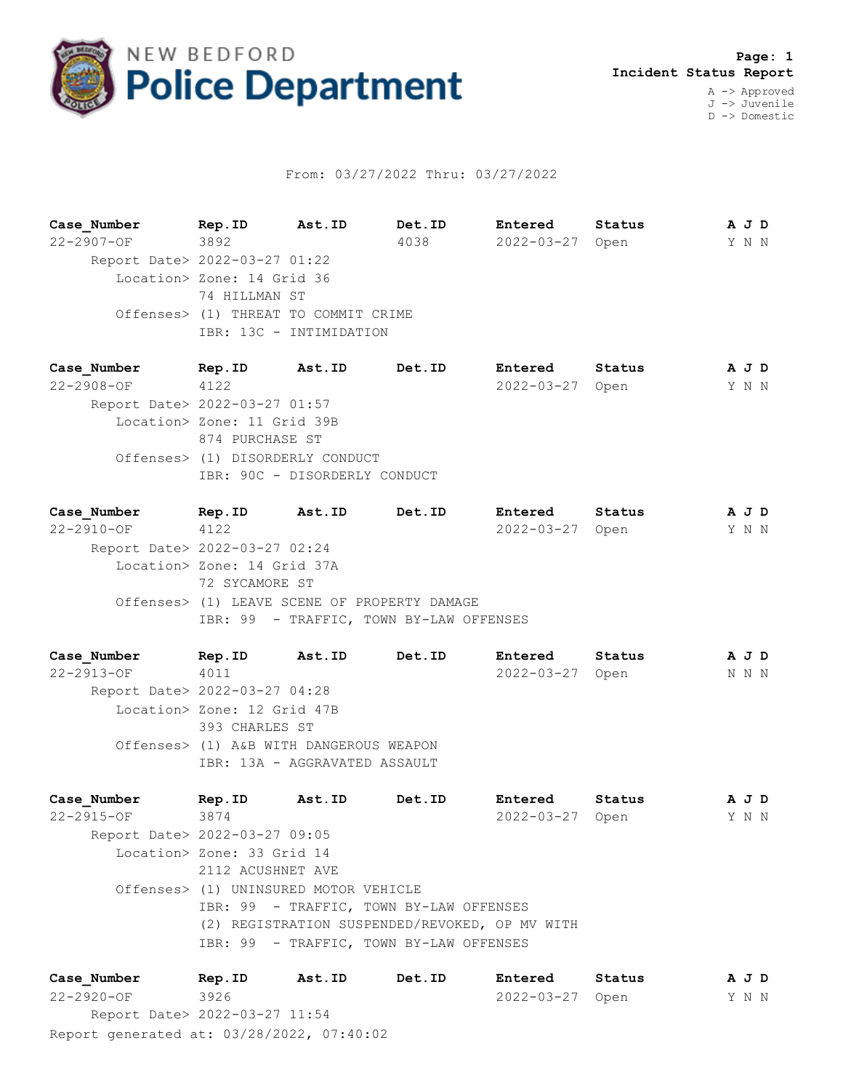

## From: 03/27/2022 Thru: 03/27/2022

**Case\_Number Rep.ID Ast.ID Det.ID Entered Status A J D** 22-2907-OF 3892 4038 2022-03-27 Open Y N N Report Date> 2022-03-27 01:22 Location> Zone: 14 Grid 36 74 HILLMAN ST Offenses> (1) THREAT TO COMMIT CRIME IBR: 13C - INTIMIDATION

**Case\_Number Rep.ID Ast.ID Det.ID Entered Status A J D** 22-2908-OF 4122 2022-03-27 Open Y N N Report Date> 2022-03-27 01:57 Location> Zone: 11 Grid 39B 874 PURCHASE ST Offenses> (1) DISORDERLY CONDUCT IBR: 90C - DISORDERLY CONDUCT

**Case\_Number Rep.ID Ast.ID Det.ID Entered Status A J D** 22-2910-OF 4122 2022-03-27 Open Y N N Report Date> 2022-03-27 02:24 Location> Zone: 14 Grid 37A 72 SYCAMORE ST Offenses> (1) LEAVE SCENE OF PROPERTY DAMAGE IBR: 99 - TRAFFIC, TOWN BY-LAW OFFENSES

**Case\_Number Rep.ID Ast.ID Det.ID Entered Status A J D** 22-2913-OF 4011 2022-03-27 Open N N N Report Date> 2022-03-27 04:28 Location> Zone: 12 Grid 47B 393 CHARLES ST Offenses> (1) A&B WITH DANGEROUS WEAPON IBR: 13A - AGGRAVATED ASSAULT

**Case\_Number Rep.ID Ast.ID Det.ID Entered Status A J D** 22-2915-OF 3874 2022-03-27 Open Y N N Report Date> 2022-03-27 09:05 Location> Zone: 33 Grid 14 2112 ACUSHNET AVE Offenses> (1) UNINSURED MOTOR VEHICLE IBR: 99 - TRAFFIC, TOWN BY-LAW OFFENSES (2) REGISTRATION SUSPENDED/REVOKED, OP MV WITH IBR: 99 - TRAFFIC, TOWN BY-LAW OFFENSES

Report generated at: 03/28/2022, 07:40:02 **Case\_Number Rep.ID Ast.ID Det.ID Entered Status A J D** 22-2920-OF 3926 2022-03-27 Open Y N N Report Date> 2022-03-27 11:54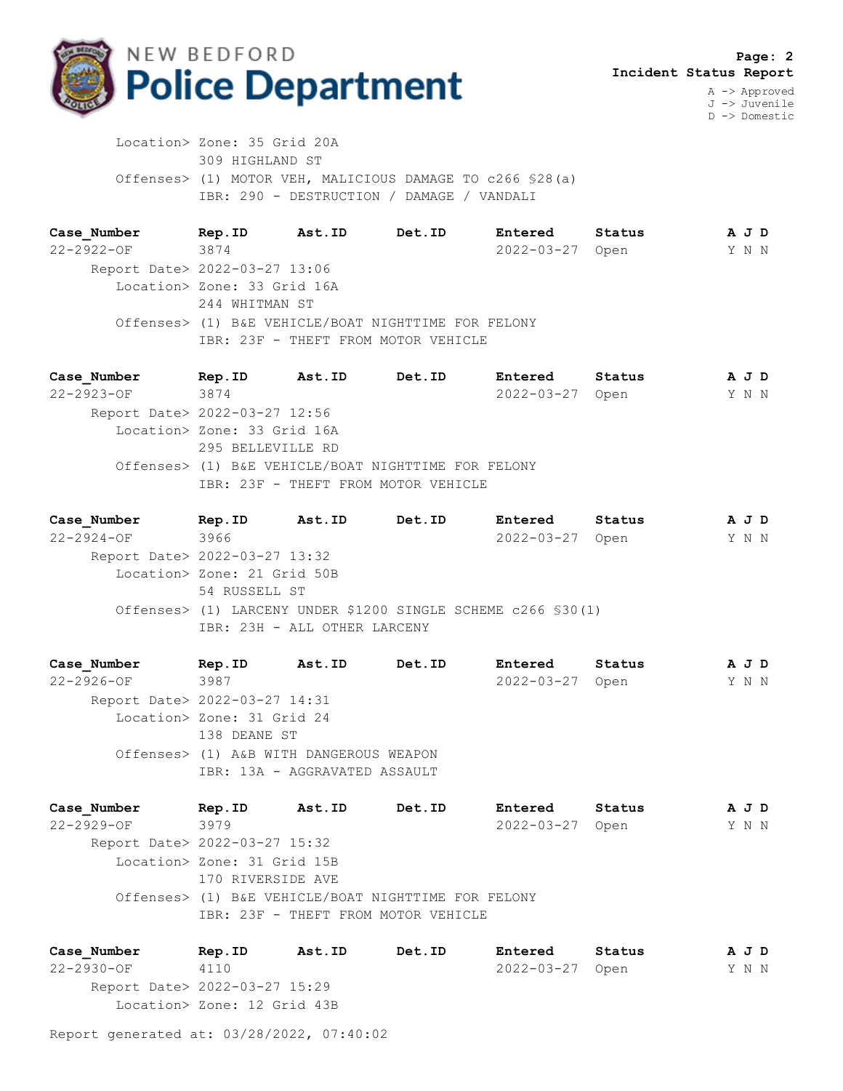

J -> Juvenile D -> Domestic

 Location> Zone: 35 Grid 20A 309 HIGHLAND ST Offenses> (1) MOTOR VEH, MALICIOUS DAMAGE TO c266 §28(a) IBR: 290 - DESTRUCTION / DAMAGE / VANDALI

**Case\_Number Rep.ID Ast.ID Det.ID Entered Status A J D** 22-2922-OF 3874 2022-03-27 Open Y N N Report Date> 2022-03-27 13:06 Location> Zone: 33 Grid 16A 244 WHITMAN ST Offenses> (1) B&E VEHICLE/BOAT NIGHTTIME FOR FELONY IBR: 23F - THEFT FROM MOTOR VEHICLE

**Case\_Number Rep.ID Ast.ID Det.ID Entered Status A J D** 22-2923-OF 3874 2022-03-27 Open Y N N Report Date> 2022-03-27 12:56 Location> Zone: 33 Grid 16A 295 BELLEVILLE RD Offenses> (1) B&E VEHICLE/BOAT NIGHTTIME FOR FELONY IBR: 23F - THEFT FROM MOTOR VEHICLE

**Case\_Number Rep.ID Ast.ID Det.ID Entered Status A J D** 22-2924-OF 3966 2022-03-27 Open Y N N Report Date> 2022-03-27 13:32 Location> Zone: 21 Grid 50B 54 RUSSELL ST Offenses> (1) LARCENY UNDER \$1200 SINGLE SCHEME c266 §30(1) IBR: 23H - ALL OTHER LARCENY

**Case\_Number Rep.ID Ast.ID Det.ID Entered Status A J D** 22-2926-OF 3987 2022-03-27 Open Y N N Report Date> 2022-03-27 14:31 Location> Zone: 31 Grid 24 138 DEANE ST Offenses> (1) A&B WITH DANGEROUS WEAPON IBR: 13A - AGGRAVATED ASSAULT

**Case\_Number Rep.ID Ast.ID Det.ID Entered Status A J D** 22-2929-OF 3979 2022-03-27 Open Y N N Report Date> 2022-03-27 15:32 Location> Zone: 31 Grid 15B 170 RIVERSIDE AVE Offenses> (1) B&E VEHICLE/BOAT NIGHTTIME FOR FELONY IBR: 23F - THEFT FROM MOTOR VEHICLE

**Case\_Number Rep.ID Ast.ID Det.ID Entered Status A J D** 22-2930-OF 4110 2022-03-27 Open Y N N Report Date> 2022-03-27 15:29 Location> Zone: 12 Grid 43B

Report generated at: 03/28/2022, 07:40:02